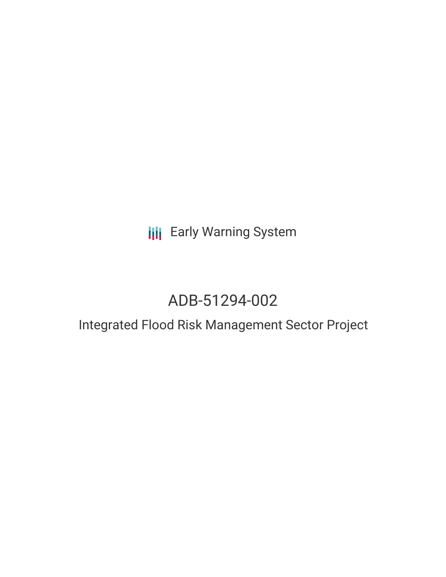## **III** Early Warning System

# ADB-51294-002

### Integrated Flood Risk Management Sector Project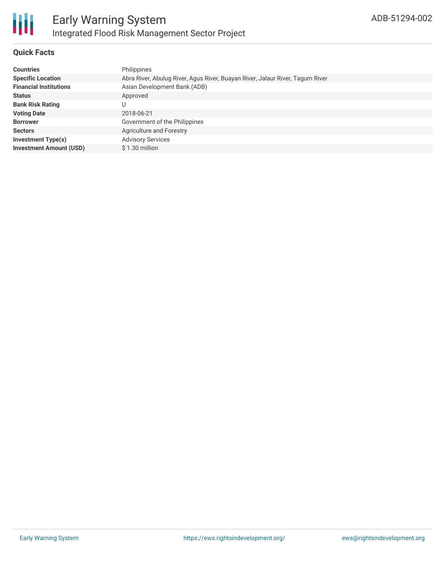

#### **Quick Facts**

| <b>Countries</b>               | Philippines                                                                   |
|--------------------------------|-------------------------------------------------------------------------------|
| <b>Specific Location</b>       | Abra River, Abulug River, Agus River, Buayan River, Jalaur River, Tagum River |
| <b>Financial Institutions</b>  | Asian Development Bank (ADB)                                                  |
| <b>Status</b>                  | Approved                                                                      |
| <b>Bank Risk Rating</b>        | U                                                                             |
| <b>Voting Date</b>             | 2018-06-21                                                                    |
| <b>Borrower</b>                | Government of the Philippines                                                 |
| <b>Sectors</b>                 | <b>Agriculture and Forestry</b>                                               |
| <b>Investment Type(s)</b>      | <b>Advisory Services</b>                                                      |
| <b>Investment Amount (USD)</b> | \$1.30 million                                                                |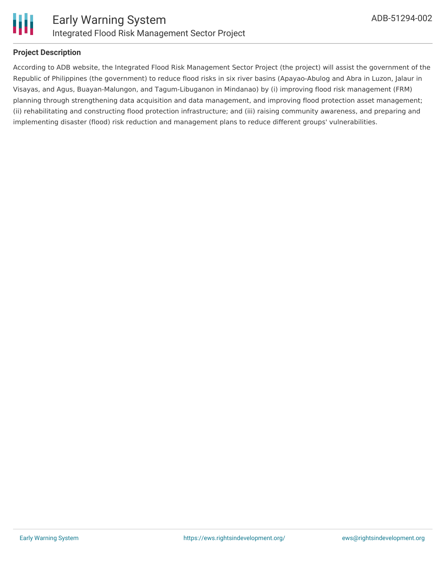

#### **Project Description**

According to ADB website, the Integrated Flood Risk Management Sector Project (the project) will assist the government of the Republic of Philippines (the government) to reduce flood risks in six river basins (Apayao-Abulog and Abra in Luzon, Jalaur in Visayas, and Agus, Buayan-Malungon, and Tagum-Libuganon in Mindanao) by (i) improving flood risk management (FRM) planning through strengthening data acquisition and data management, and improving flood protection asset management; (ii) rehabilitating and constructing flood protection infrastructure; and (iii) raising community awareness, and preparing and implementing disaster (flood) risk reduction and management plans to reduce different groups' vulnerabilities.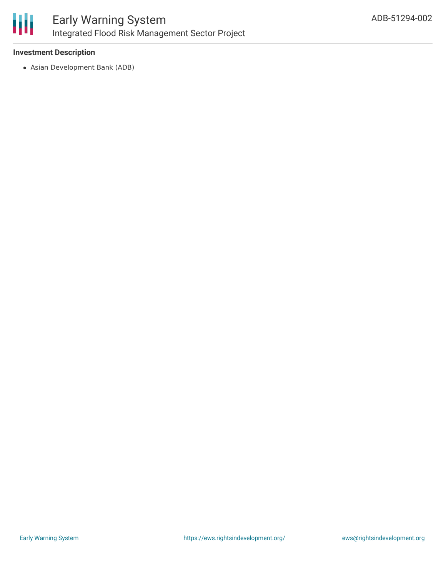

#### **Investment Description**

Asian Development Bank (ADB)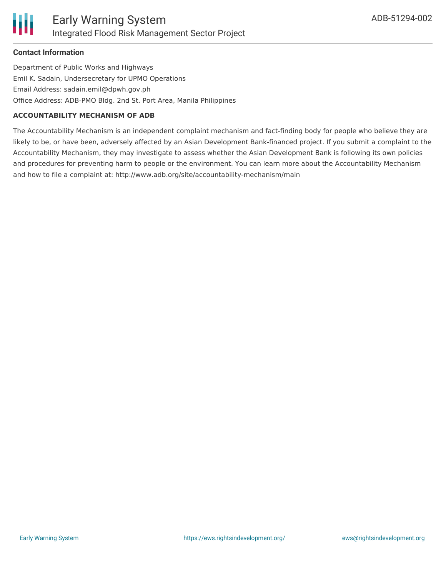#### **Contact Information**

Department of Public Works and Highways Emil K. Sadain, Undersecretary for UPMO Operations Email Address: sadain.emil@dpwh.gov.ph Office Address: ADB-PMO Bldg. 2nd St. Port Area, Manila Philippines

#### **ACCOUNTABILITY MECHANISM OF ADB**

The Accountability Mechanism is an independent complaint mechanism and fact-finding body for people who believe they are likely to be, or have been, adversely affected by an Asian Development Bank-financed project. If you submit a complaint to the Accountability Mechanism, they may investigate to assess whether the Asian Development Bank is following its own policies and procedures for preventing harm to people or the environment. You can learn more about the Accountability Mechanism and how to file a complaint at: http://www.adb.org/site/accountability-mechanism/main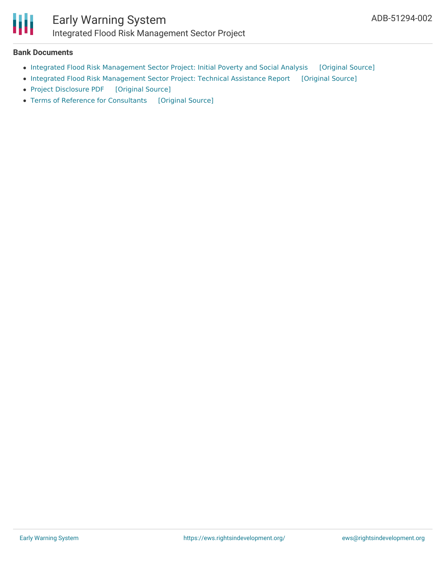

### Early Warning System Integrated Flood Risk Management Sector Project

#### **Bank Documents**

- Integrated Flood Risk [Management](https://ewsdata.rightsindevelopment.org/files/documents/02/ADB-51294-002_ATnoxM6.pdf) Sector Project: Initial Poverty and Social Analysis [\[Original](https://www.adb.org/projects/documents/phi-51294-002-ipsa) Source]
- Integrated Flood Risk [Management](https://ewsdata.rightsindevelopment.org/files/documents/02/ADB-51294-002_nvChZSP.pdf) Sector Project: Technical Assistance Report [\[Original](https://www.adb.org/projects/documents/phi-51294-002-tar) Source]
- Project [Disclosure](https://ewsdata.rightsindevelopment.org/files/documents/02/ADB-51294-002.pdf) PDF [\[Original](https://www.adb.org/printpdf/projects/51294-002/main) Source]
- Terms of Reference for [Consultants](https://ewsdata.rightsindevelopment.org/files/documents/02/ADB-51294-002_4ycX1YF.pdf) [\[Original](https://www.adb.org/projects/documents/phi-51294-002-tar) Source]